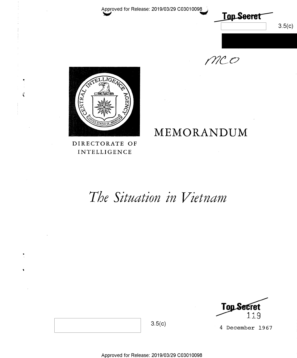Approved for Release: 2019/03/29 C03010098



 $MCO$ 

MEMORANDUM



 $\frac{1}{3}$ 

DIRECTORATE OF INTELLIGENCE

# The Situation in Vietnam



4 December 1967

 $3.5(c)$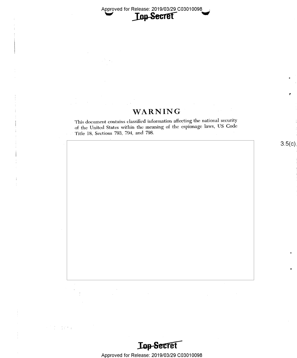Approved for Release: 2019/03/29 C03010098

# WARNING

This document contains classified information affeeting the national} security of the United States within the meaning of the espionage laws, US Code Title 18, Sections 793, 794, and 798.

 $3.5(c)$ 

l,

I'

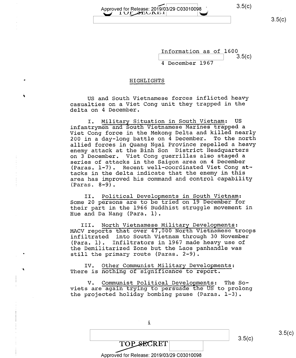$\overline{\phantom{a}}$ Approved for Release: 2019/03/29 C03010098 3.5(C)<br>  $\begin{array}{|c|c|c|c|c|}\n\hline\n& 1 \cup \text{P} & \text{P} & \text{P} & \text{P} \end{array}$ 

 $3.5(c)$ 

 $3.5(c)$ 

Information as of 1600  $3.5(c)$ <sup>4</sup>December 1967

### HIGHLIGHTS

US and South Vietnamese forces inflicted heavy casualties on a Viet Cong unit they trapped in the delta on 4 December.

I. Military Situation in South Vietnam: US infantrymen and South Vietnamese Marines trapped a Viet Cong force in the Mekong Delta and killed nearly 200 in a day-long battle on 4 December. To the north allied forces in Quang Ngai Province repelled a heavy enemy attack at the Binh Son District Headquarters on 3 December. Viet Cong guerrillas also staged a series of attacks in the Saigon area on 4 December (Paras. l-7). Recent well—coordinated Viet Cong at tacks in the delta indicate that the enemy in this area has improved his command and control capability  $(Paras. 8-9)$ .

II. Political Developments in South Vietnam: Some 20 persons are to be tried on l9 December for their part in the 1966 Buddhist struggle movement in Hue and Da Nang (Para. l).

III. North Vietnamese Military Developments:<br>MACV reports that over 47,000 North Vietnamese troops infiltrated into South Vietnam through 30 November (Para. l). Infiltrators in 1967 made heavy use of the Demilitarized Zone but the Laos panhandle was still the primary route (Paras. 2-9).

IV. Other Communist Military Developments: There is nothing of significance to report.

V. Communist Political Developments: The Soviets are again trying to persuade the US to prolong the projected holiday bombing pause (Paras. 1-3).

| <b>TOP SECRET</b>                          |  | 3.5(c) |
|--------------------------------------------|--|--------|
| Approved for Release: 2019/03/29 C03010098 |  |        |

i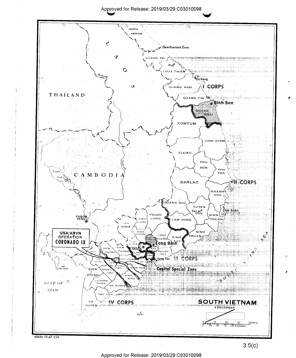#### Apg/ed for Release: 2019/03/29 C03010098



Approved for Release: 2019/03/29 C03010098

 $3.5(c)$ 

.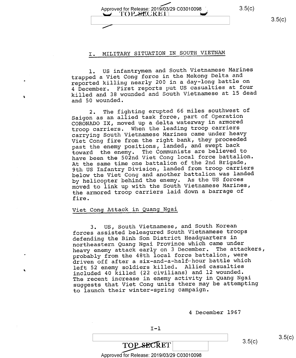$\sim$ Appr\_0ved for Release: 2019103/29 C03010098 ', 3.5(C) U TOPSECRETI

# I. MILITARY SITUATION IN SOUTH VIETNAM

l. US infantrymen and South Vietnamese Marines trapped a Viet Cong force in the Mekong Delta and reported killing nearly 200 in a day-long battle on <sup>4</sup>December. First reports put US casualties at four killed and 38 wounded and South Vietnamese at l5 dead and 50 wounded.

2. The fighting erupted 66 miles southwest of Saigon as an allied task force, part of Operation CORONADO IX, moved up a delta waterway in armored troop carriers. When the leading troop carriers carrying South Vietnamese Marines came under heavy Viet Cong fire from the right bank, they proceeded past the enemy positions, landed, and swept back toward the enemy. The Communists are believed to have been the 502nd Viet Cong local force battalion. At the same time one battalion of the 2nd Brigade, 9th US Infantry Division, landed from troop carriers below the Viet Cong and another battalion was landed by helicopter behind the enemy. As the US forces moved to link up with the South Vietnamese Marines, the armored troop carriers laid down a barrage of fire.

# Viet Cong Attack in Quang Ngai

3. US, South Vietnamese, and South Korean forces assisted beleagured South Vietnamese troops defending the Binh Son District Headquarters in northeastern Quang Ngai Province which came under heavy enemy attack early on 3 December. The attackers, probably from the 48th local force battalion, were driven off after a six-and-a-half-hour battle which left 52 enemy soldiers killed. Allied casualties included 40 killed (22 civilians) and l2 wounded. The recent increase in enemy activity in Quang Ngai suggests that Viet Cong units there may be attempting to launch their winter—spring campaign.

<sup>4</sup>December 1967

 $3.5(c)$ 

# **TOP SECRET**

### Approved for Release: 2019/03/29 C03010098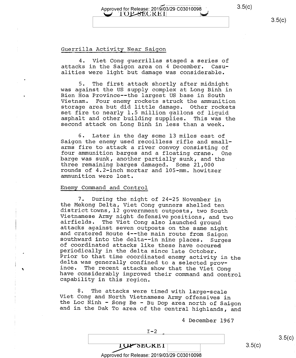# Approved for Release: 2019/03/29 C03010098 3.5(C)  $\cup$  TOP-SECRET

### Guerrilla Activity Near Saigon

4. Viet Cong guerrillas staged a series of attacks in the Saigon area on 4 December. Casualities were light but damage was considerable.

5. The first attack shortly after midnight<br>was against the US supply complex at Long Binh in Bien Hoa Province--the largest US base in South<br>Vietnam. Four enemy rockets struck the ammunition storage area but did little damage. Other rockets<br>set fire to nearly 1.5 million gallons of liquid<br>asphalt and other building supplies. This was the<br>second attack on Long Binh in less than a week.

6. Later in the day some 13 miles east of Saigon the enemy used recoilless rifle and smallfour ammunition barges and a floating crane. One<br>barge was sunk, another partially sunk, and the<br>three remaining barges damaged. Some 21,000<br>rounds of 4.2-inch mortar and 105-mm. howitzer<br>ammunition were lost.

#### Enemy Command and Control

7. During the night of 24-25 November in<br>the Mekong Delta, Viet Cong gunners shelled ten<br>district towns, 12 government outposts, two South<br>Vietnamese Army night defensive positions, and two<br>airfields. The Viet Cong also la

8. The attacks were timed with large-scale Viet Cong and North Vietnamese Army offensives in the Loc Ninh - Song Be - Bu Dop area north of Saigon and in the Dak To area of the central highlands, and

<sup>4</sup>December 1967

#### Approved for Release: 2019/03/29 C03010098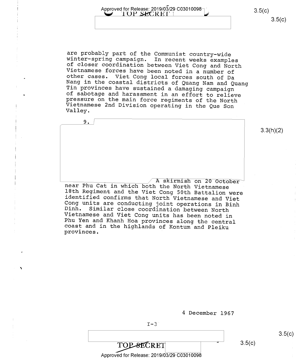Approved for Release: 2019/03/29 C03010098<sup>-1</sup> 3.5(C) 3.5(C)

 $3.5(c)$ 

3.3(h)(2)

are probably part of the Communist country-wide<br>winter-spring campaign. In recent weeks examples<br>of closer coordination between Viet Cong and North<br>Vietnamese forces have been noted in a number of<br>other cases. Viet Cong lo

9. A skirmish on 20 October<br>near Phu Cat in which both the North Vietnamese<br>18th Regiment and the Viet Cong 50th Battalion were<br>identified confirms that North Vietnamese and Viet<br>Cong units are conducting joint operations in

<sup>4</sup>December 1967

 $\overline{\text{TOP-SECRET}}$  3.5(c)

 $3.5(c)$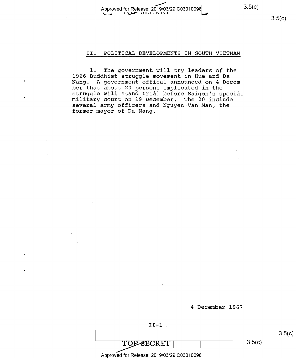$3.5(c)$ 

#### Approved for Release: 2019/03/29 C03010098 1 **OLUT**

 $3.5(c)$ 

## II. POLITICAL DEVELOPMENTS IN SOUTH VIETNAM

l. The government will try leaders of the l966 Buddhist struggle movement in Hue and Da Nang. A government offical announced on 4 December that about 20 persons implicated in the struggle will stand trial before Saigon's special military court on 19 December. The 20 include several army officers and Nguyen Van Man, the former mayor of Da Nang.

4 December l967

 $II-1$  .

TOPSECRET

 $3.5(c)$ 

 $3.5(c)$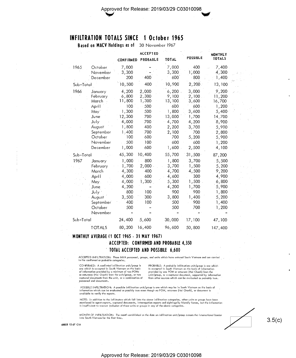# INFILTRATION TOTALS SINCE 1 October 1965

Based on MACV Holdings as of 30 November 1967

|           |                                                                                                                                       | <b>CONFIRMED</b>                                                                                     | <b>ACCEPTED</b><br>PROBABLE                                                            | <b>TOTAL</b>                                                                                         | <b>POSSIBLE</b>                                                                                    | <b>MONTHLY</b><br><b>TOTALS</b>                                                                             |  |
|-----------|---------------------------------------------------------------------------------------------------------------------------------------|------------------------------------------------------------------------------------------------------|----------------------------------------------------------------------------------------|------------------------------------------------------------------------------------------------------|----------------------------------------------------------------------------------------------------|-------------------------------------------------------------------------------------------------------------|--|
| 1965      | October<br>November<br>December                                                                                                       | 7,000<br>3,300<br>200                                                                                | 400                                                                                    | 7,000<br>3,300<br>600                                                                                | 400<br>1,000<br>$-800$                                                                             | .7,400<br>4,300<br>1,400                                                                                    |  |
| Sub-Total |                                                                                                                                       | 10,500                                                                                               | 400                                                                                    | 10,900                                                                                               | 2,200                                                                                              | 13,100                                                                                                      |  |
| 1966      | January<br>February<br>March<br>April<br>May"<br>June:<br>July<br>August <sup>:</sup><br>September<br>October<br>November<br>December | 4,200<br>6,800<br>11,800<br>100<br>1,300<br>12,300<br>4,000<br>1,800<br>1.400<br>100<br>500<br>1,000 | 2,000<br>2,300<br>1,300<br>500<br>500<br>700<br>700<br>400<br>700<br>600<br>100<br>600 | 6,200<br>9,100<br>13,100<br>600<br>1,800<br>13,000<br>4,700<br>2,200<br>2,100<br>700<br>600<br>1,600 | 3,000<br>2,100<br>3,600<br>600<br>3,600<br>1,700<br>4,200<br>3,700<br>700<br>5,200<br>600<br>2,500 | 9,200<br>11,200<br>16,700<br>1,200<br>5,400<br>14:700<br>8,900<br>5,900<br>2,800<br>5,900<br>1,200<br>4,100 |  |
| Sub-Total |                                                                                                                                       | 45,300                                                                                               | 10,400                                                                                 | 55,700                                                                                               | 31,500                                                                                             | 87,200                                                                                                      |  |
| 1967      | January<br>February<br>March<br>April<br>May .<br>June<br>July :<br>August<br>September<br>October<br>November                        | 1,000<br>1,700<br>4,300<br>4,000<br>4,000<br>4,200<br>800<br>3,500<br>400<br>500                     | 800<br>2,000<br>400<br>600<br>1,300<br>100<br>300<br>100                               | 1,800<br>3,700<br>4,700<br>4,600<br>5,300<br>4,200<br>900<br>3,800<br>500<br>500                     | 3,700<br>1,500<br>4,500<br>300<br>1,500<br>1,700<br>900<br>1,400<br>900<br>700                     | 5,500<br>5,200<br>9,200<br>4,900<br>6,800<br>5,900<br>1,800<br>5,200<br>1,400<br>1,200                      |  |
| Sub-Total |                                                                                                                                       | 24,400                                                                                               | 5,600                                                                                  | 30,000                                                                                               | 17,100                                                                                             | 47,100                                                                                                      |  |
|           | <b>TOTALS</b>                                                                                                                         | 80,200                                                                                               | 16,400                                                                                 | 96,600                                                                                               | 50,800                                                                                             | 147,400                                                                                                     |  |

#### MONTHLY AVERAGE (1 OCT 1965 - 31 MAY 1967)

ACCEPTED: CONFIRMED AND PROBABLE 4,350 1 10TAl ACCEPTED AND PDSSIBEE 6,600

ACCEPTED INFILTRATION: Those NVA personnel, groups, and units which have entered South Vietnam and are carried in the confirmed or probable categories.

CONFIRMED: A confirmed infiltration unit/group is one which is accepted in South Vietnam on the basis of information provided by a minimum of two POWs or returnees (Hot Chanlw) tram the unit/group, or two captured documents from the unit, or a combination of personnel and documents.

PROBABLE; A probable infiltration unit/group is one which<br>is accepted in South Vietnam on the basis of information provided by one POW or returnee (Hoi Chanh) from the<br>unit/group, or a captured document, supported by information from other sources which can be evaluated as probably true.

POSSIBLE INFILTRATION: A possible infiltration unit/group is one which may be in South Vietnam on the basis of <sup>g</sup> intormution which can be evaluated as possibly true even though no POW, relurnee (Hoi Chanh), or document is available to verify the reports.

NOTE: In addition to the intiltrators which tall into the above intiltration categories, other units or groups have been<br>mentioned in agent reports, captured documents, interrogation reports and sightings by friendly force is insulticient to worront inclusion of these units or groups in any 0F the above categories.

MONTH OF INFILTRATION: The month established as the date an infiltration unit/group crosses the international border<br>into South Vietnam for the first timo, into South Vietnam for the first time.  $3.5(c)$ 

68535 12 67 CIA

 $\alpha$  ,  $\beta$ 

 $\mathcal{L}_{\rm{in}}^{\rm{in}}$ 

 $\sim$ 

 $\mathcal{I}$ 

 $\sim$ 

### Approved for Release: 2019/03/29 C03010098

 $\sim$   $\sim$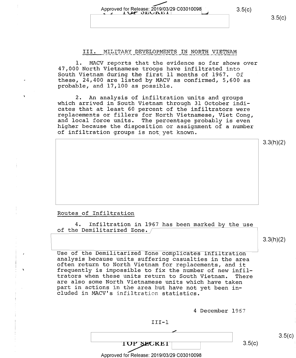# Approved for Release: 2019/03/29 C03010098  $\qquad \qquad 3.5(c)$

# III. MILITARY DEVELOPMENTS IN NORTH VIETNAM

l. MACV reports that the evidence so far shows over 47,000 North Vietnamese troops have infiltrated into South Vietnam during the first ll months of 1967. Of these, 24,400 are listed by MACV as confirmed, 5,600 as probable, and 17,100 as possible.

2. An analysis of infiltration units and groups<br>which arrived in South Vietnam through 31 October indi-<br>cates that at least 60 percent of the infiltrators were replacements or fillers for North Vietnamese, Viet Cong, and local force units. The percentage probably is even higher because the disposition or assignment of a number of infiltration groups is not yet known.

3.3(h)(2)

 $3.5(c)$ 

### Routes of Infiltration

4. Infiltration in 1967 has been marked by the use of the Demilitarized Zone.

3.3(h)(2)

Use of the Demilitarized Zone complicates infiltration<br>analysis because units suffering casualties in the area<br>often return to North Vietnam for replacements, and it<br>frequently is impossible to fix the number of new infil-

4 December 1967



 $3.5(c)$ 

 $3.5(c)$ 

**TOP SECRET** 

Z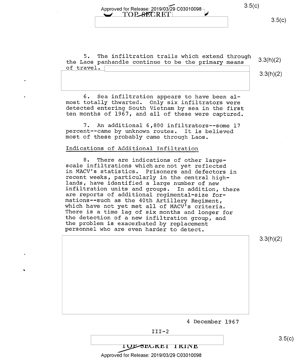Approved for Release: 2019/03/29 C03010098 TOP SECRETI  $\gamma$ 

 $3.5(c)$ 

5. The infiltration trails which extend through the Laos panhandle continue to be the primary means 3.3(h)(2) of travel.

3.3(h)(2)

6. Sea infiltration appears to have been almost totally thwarted. Only six infiltrators were detected entering South Vietnam by sea in the first ten months of 1967, and all of these were captured.

7. An additional 6,800 infiltrators--some l7 percent--came by unknown routes. It is believed most of these probably came through Laos.

### Indications of Additional Infiltration

8. There are indications of other large-<br>scale infiltrations which are not yet reflected<br>in MACV's statistics. Prisoners and defectors in recent weeks, particularly in the central high-<br>lands, have identified a large number of new infiltration units and groups. In addition, there<br>are reports of additional regimental-size for-<br>mations--such as the 40th Artillery Regiment,<br>which have not yet met all of MACV's criteria.<br>There is a time lag of six month

3.3(h)(2)

<sup>4</sup>December 1967



IUL SEUKEI IKINE

Approved for Release: 2019/03/29 C03010098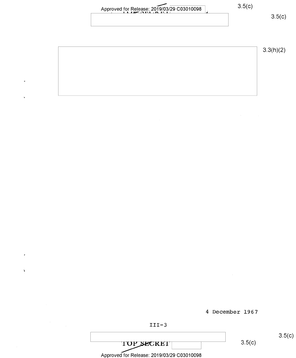Approved for Release: 2019/03/29 C03010098 3.5(c)

 $\ddot{\phantom{0}}$ 

 $\mathbf{r}$ 

3.3(h)(2)

 $3.5(c)$ 

<sup>4</sup>December 1967



TOP SECRET Approved for Release: 2019/03/29 C03010098  $3.5(c)$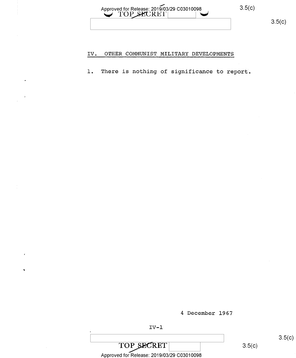| Approved for Release: 2019/03/29 C03010098 | 3.5(c) |
|--------------------------------------------|--------|
|                                            |        |

# IV. OTHER COMMUNIST MILITARY DEVELOPMENTS

1. There is nothing of significance to report;

4 December 1967

 $\frac{1}{2}$  s.5(c) TOP SECRET 3.5(c) Approved for Release: 2019/03/29 C03010098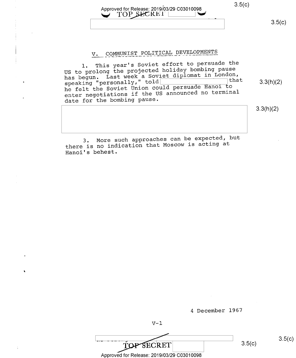# Approved for Release: 2019/03/29 C03010098 3.5(c) **TOP SECRET**

 $3.5(c)$ 

# V. COMMUNIST POLITICAL DEVELOPMENTS

l. This year's Soviet effort to persuade the US to prolong the projected holiday bombing pause has begun. Last week a Soviet diplomat in London,  $s$ peaking "personally," told  $\frac{1}{s}$  and  $\frac{1}{s}$  and  $\frac{1}{s}$  3.3(h)(2) speaking "personally," told<br>he felt the Soviet Union could persuade Hanoi to ' enter negotiations if the US announced no terminal date for the bombing pause.

 $3.3(h)(2)$ 

3. More such approaches can be expected, but there is no indication that Moscow is acting at Hanoi's behest.

<sup>4</sup>December 1967

 $V-1$ 

 $V-1$ <br>  $V-1$ <br>  $TOP SECRET$  3.5(c)<br>
Approved for Belegge: 2010/03/29 C02010098 Approved for Release: 2019/03/29 C03010098